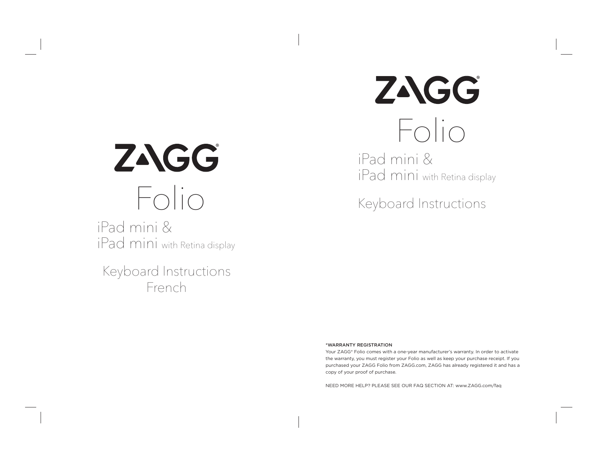# ZAGG Folio

iPad mini & iPad mini with Retina display

Keyboard Instructions French

# ZAGG Folio

iPad mini & iPad mini with Retina display

Keyboard Instructions

#### \*WARRANTY REGISTRATION

Your ZAGG® Folio comes with a one-year manufacturer's warranty. In order to activate the warranty, you must register your Folio as well as keep your purchase receipt. If you purchased your ZAGG Folio from ZAGG.com, ZAGG has already registered it and has a copy of your proof of purchase.

NEED MORE HELP? PLEASE SEE OUR FAQ SECTION AT: www.ZAGG.com/faq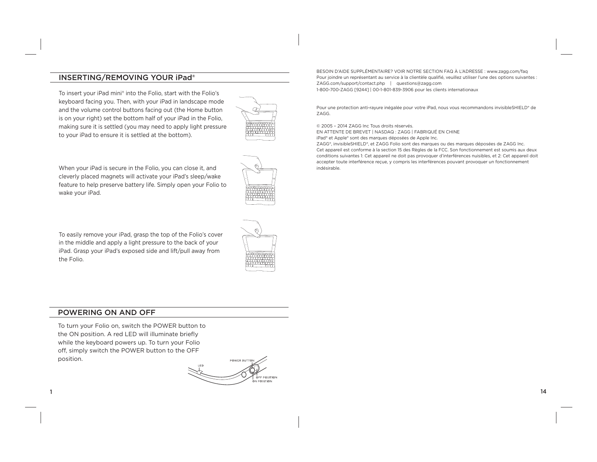# INSERTING/REMOVING YOUR iPad®

To insert your iPad mini® into the Folio, start with the Folio's keyboard facing you. Then, with your iPad in landscape mode and the volume control buttons facing out (the Home button is on your right) set the bottom half of your iPad in the Folio, making sure it is settled (you may need to apply light pressure to your iPad to ensure it is settled at the bottom).



When your iPad is secure in the Folio, you can close it, and cleverly placed magnets will activate your iPad's sleep/wake feature to help preserve battery life. Simply open your Folio to wake your iPad.

To easily remove your iPad, grasp the top of the Folio's cover in the middle and apply a light pressure to the back of your iPad. Grasp your iPad's exposed side and lift/pull away from the Folio.



BESOIN D'AIDE SUPPLÉMENTAIRE? VOIR NOTRE SECTION FAQ À L'ADRESSE : www.zagg.com/faq Pour joindre un représentant au service à la clientèle qualifié, veuillez utiliser l'une des options suivantes : ZAGG.com/support/contact.php | questions@zagg.com 1-800-700-ZAGG [9244] | 00-1-801-839-3906 pour les clients internationaux

Pour une protection anti-rayure inégalée pour votre iPad, nous vous recommandons invisibleSHIELD® de ZAGG.

© 2005 – 2014 ZAGG Inc Tous droits réservés.

EN ATTENTE DE BREVET | NASDAQ : ZAGG | FABRIQUÉ EN CHINE

iPad® et Apple® sont des marques déposées de Apple Inc.

ZAGG®, invisibleSHIELD®, et ZAGG Folio sont des marques ou des marques déposées de ZAGG Inc. Cet appareil est conforme à la section 15 des Règles de la FCC. Son fonctionnement est soumis aux deux conditions suivantes 1: Cet appareil ne doit pas provoquer d'interférences nuisibles, et 2: Cet appareil doit accepter toute interférence reçue, y compris les interférences pouvant provoquer un fonctionnement indésirable.

#### POWERING ON AND OFF

1

To turn your Folio on, switch the POWER button to the ON position. A red LED will illuminate briefly while the keyboard powers up. To turn your Folio off, simply switch the POWER button to the OFF position.

POWER BUTTO **POSITION** POSITION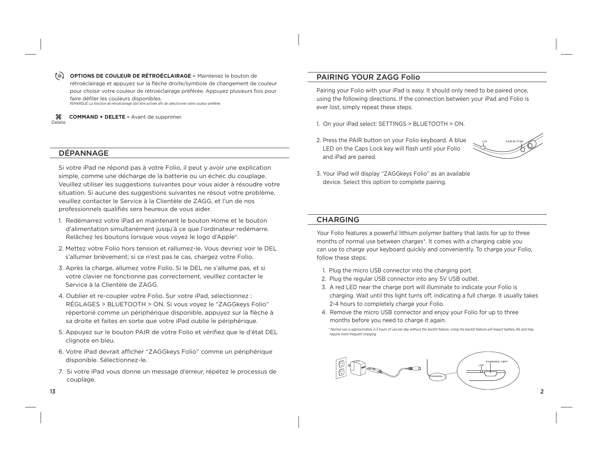**OPTIONS DE COULEUR DE RÉTROÉCLAIRAGE –** Maintenez le bouton de rétroéclairage et appuyez sur la flèche droite/symbole de changement de couleur pour choisir votre couleur de rétroéclairage préférée. Appuyez plusieurs fois pour faire défiler les couleurs disponibles. *REMARQUE: La fonction de rétroéclairage doit être activée afi n de sélectionner votre couleur préférée.* 

₩. **COMMAND + DELETE –** Avant de supprimer. Delete

### DÉPANNAGE

Si votre iPad ne répond pas à votre Folio, il peut y avoir une explication simple, comme une décharge de la batterie ou un échec du couplage. Veuillez utiliser les suggestions suivantes pour vous aider à résoudre votre situation. Si aucune des suggestions suivantes ne résout votre problème, veuillez contacter le Service à la Clientèle de ZAGG, et l'un de nos professionnels qualifiés sera heureux de vous aider.

- 1. Redémarrez votre iPad en maintenant le bouton Home et le bouton d'alimentation simultanément jusqu'à ce que l'ordinateur redémarre. Relâchez les boutons lorsque vous voyez le logo d'Apple®.
- 2. Mettez votre Folio hors tension et rallumez-le. Vous devriez voir le DEL <sup>s</sup>'allumer brièvement; si ce n'est pas le cas, chargez votre Folio.
- 3. Après la charge, allumez votre Folio. Si le DEL ne s'allume pas, et si votre clavier ne fonctionne pas correctement, veuillez contacter le Service à la Clientèle de ZAGG.
- 4. Oublier et re-coupler votre Folio. Sur votre iPad, sélectionnez : RÉGLAGES > BLUETOOTH > ON. Si vous voyez le "ZAGGkeys Folio" répertorié comme un périphérique disponible, appuyez sur la flèche à sa droite et faites en sorte que votre iPad oublie le périphérique.
- 5. Appuyez sur le bouton PAIR de votre Folio et vérifiez que le d'état DEL clignote en bleu.
- 6. Votre iPad devrait afficher "ZAGGkeys Folio" comme un périphérique disponible. Sélectionnez-le.
- 7. Si votre iPad vous donne un message d'erreur, répétez le processus de couplage.

# PAIRING YOUR ZAGG Folio

Pairing your Folio with your iPad is easy. It should only need to be paired once, using the following directions. If the connection between your iPad and Folio is ever lost, simply repeat these steps.

- 1. On your iPad select: SETTINGS > BLUETOOTH > ON.
- 2. Press the PAIR button on your Folio keyboard. A blue LED on the Caps Lock key will flash until your Folio and iPad are paired.



3. Your iPad will display "ZAGGkeys Folio" as an available device. Select this option to complete pairing.

#### CHARGING

Your Folio features a powerful lithium polymer battery that lasts for up to three months of normal use between charges\*. It comes with a charging cable you can use to charge your keyboard quickly and conveniently. To charge your Folio, follow these steps:

- 1. Plug the micro USB connector into the charging port.
- 2. Plug the regular USB connector into any 5V USB outlet.
- 3. A red LED near the charge port will illuminate to indicate your Folio is charging. Wait until this light turns off, indicating a full charge. It usually takes 2-4 hours to completely charge your Folio.
- 4. Remove the micro USB connector and enjoy your Folio for up to three months before you need to charge it again.

 *\*Normal use is approximately 2-3 hours of use per day without the backlit feature. Using the backlit feature will impact battery life and may require more frequent charging.* 



13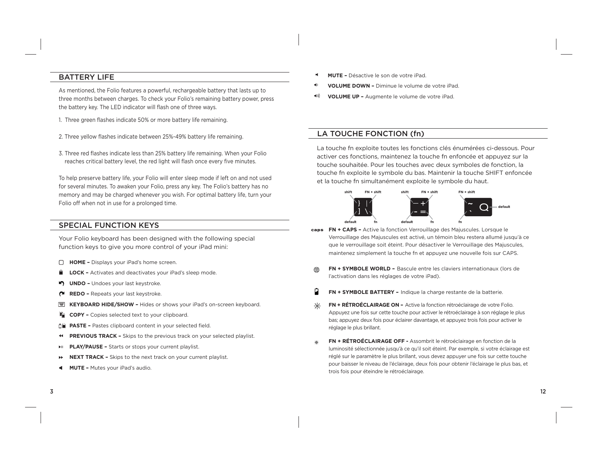# BATTERY LIFE

As mentioned, the Folio features a powerful, rechargeable battery that lasts up to three months between charges. To check your Folio's remaining battery power, press the battery key. The LED indicator will flash one of three ways.

- 1. Three green flashes indicate 50% or more battery life remaining.
- 2. Three yellow flashes indicate between 25%-49% battery life remaining.
- 3. Three red flashes indicate less than 25% battery life remaining. When your Folio reaches critical battery level, the red light will flash once every five minutes.

To help preserve battery life, your Folio will enter sleep mode if left on and not used for several minutes. To awaken your Folio, press any key. The Folio's battery has no memory and may be charged whenever you wish. For optimal battery life, turn your Folio off when not in use for a prolonged time.

# SPECIAL FUNCTION KEYS

Your Folio keyboard has been designed with the following special function keys to give you more control of your iPad mini:

- **HOME -** Displays your iPad's home screen.
- **LOCK –** Activates and deactivates your iPad's sleep mode.
- **UNDO –** Undoes your last keystroke.
- **REDO –** Repeats your last keystroke.
- **KEYBOARD HIDE/SHOW –** Hides or shows your iPad's on-screen keyboard.
- ŧ. **COPY –** Copies selected text to your clipboard.
- **PASTE –** Pastes clipboard content in your selected field.
- $\blacktriangleleft$ **PREVIOUS TRACK –** Skips to the previous track on your selected playlist.
- **PLAY/PAUSE –** Starts or stops your current playlist.
- ÞÞ. **NEXT TRACK –** Skips to the next track on your current playlist.
- ٠ **MUTE –** Mutes your iPad's audio.
- **MUTE –** Désactive le son de votre iPad.
- **VOLUME DOWN –** Diminue le volume de votre iPad.
- $\blacktriangleleft$  )) **VOLUME UP –** Augmente le volume de votre iPad.

# LA TOUCHE FONCTION (fn)

La touche fn exploite toutes les fonctions clés énumérées ci-dessous. Pour activer ces fonctions, maintenez la touche fn enfoncée et appuyez sur la touche souhaitée. Pour les touches avec deux symboles de fonction, la touche fn exploite le symbole du bas. Maintenir la touche SHIFT enfoncée et la touche fn simultanément exploite le symbole du haut.



- **FN + CAPS** Active la fonction Verrouillage des Majuscules. Lorsque le Verrouillage des Majuscules est activé, un témoin bleu restera allumé jusqu'à ce que le verrouillage soit éteint. Pour désactiver le Verrouillage des Majuscules, maintenez simplement la touche fn et appuyez une nouvelle fois sur CAPS.
- $\oplus$ **FN + SYMBOLE WORLD –** Bascule entre les claviers internationaux (lors de l'activation dans les réglages de votre iPad).
- Й **FN + SYMBOLE BATTERY –** Indique la charge restante de la batterie.
- $-6-$ **FN + RÉTROÉCLAIRAGE ON –** Active la fonction rétroéclairage de votre Folio. Appuyez une fois sur cette touche pour activer le rétroéclairage à son réglage le plus bas; appuyez deux fois pour éclairer davantage, et appuyez trois fois pour activer le réglage le plus brillant.
- ٠ö٠ **FN + RÉTROÉCLAIRAGE OFF -** Assombrit le rétroéclairage en fonction de la luminosité sélectionnée jusqu'à ce qu'il soit éteint. Par exemple, si votre éclairage est réglé sur le paramètre le plus brillant, vous devez appuyer une fois sur cette touche pour baisser le niveau de l'éclairage, deux fois pour obtenir l'éclairage le plus bas, et trois fois pour éteindre le rétroéclairage.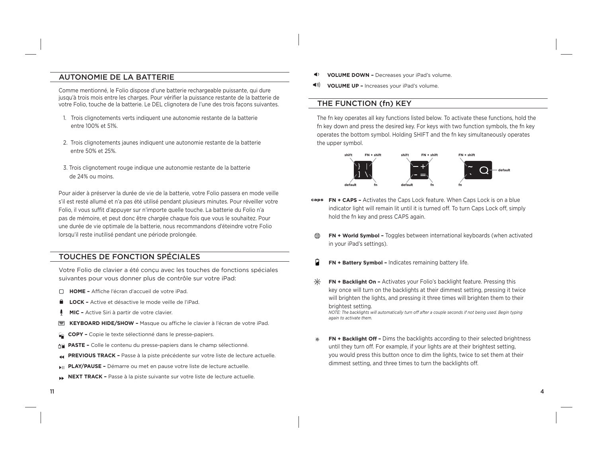# AUTONOMIE DE LA BATTERIE

Comme mentionné, le Folio dispose d'une batterie rechargeable puissante, qui dure jusqu'à trois mois entre les charges. Pour vérifier la puissance restante de la batterie de votre Folio, touche de la batterie. Le DEL clignotera de l'une des trois façons suivantes.

- 1. Trois clignotements verts indiquent une autonomie restante de la batterie entre 100% et 51%.
- 2. Trois clignotements jaunes indiquent une autonomie restante de la batterie entre 50% et 25%.
- 3. Trois clignotement rouge indique une autonomie restante de la batterie de 24% ou moins.

Pour aider à préserver la durée de vie de la batterie, votre Folio passera en mode veille <sup>s</sup>'il est resté allumé et n'a pas été utilisé pendant plusieurs minutes. Pour réveiller votre Folio, il vous suffit d'appuyer sur n'importe quelle touche. La batterie du Folio n'a pas de mémoire, et peut donc être chargée chaque fois que vous le souhaitez. Pour une durée de vie optimale de la batterie, nous recommandons d'éteindre votre Folio lorsqu'il reste inutilisé pendant une période prolongée.

# TOUCHES DE FONCTION SPÉCIALES

Votre Folio de clavier a été conçu avec les touches de fonctions spéciales suivantes pour vous donner plus de contrôle sur votre iPad:

- □ HOME Affiche l'écran d'accueil de votre iPad.
- **LOCK –** Active et désactive le mode veille de l'iPad.
- Φ **MIC –** Active Siri à partir de votre clavier.
- **KEYBOARD HIDE/SHOW –** Masque ou affiche le clavier à l'écran de votre iPad.
- ÷. **COPY –** Copie le texte sélectionné dans le presse-papiers.
- 血管 **PASTE –** Colle le contenu du presse-papiers dans le champ sélectionné.
- **PREVIOUS TRACK –** Passe à la piste précédente sur votre liste de lecture actuelle.
- **PLAY/PAUSE –** Démarre ou met en pause votre liste de lecture actuelle.
- **NEXT TRACK –** Passe à la piste suivante sur votre liste de lecture actuelle.
- $\blacklozenge$ **VOLUME DOWN –** Decreases your iPad's volume.
- $\blacktriangleleft$ 1)) **VOLUME UP –** Increases your iPad's volume.

### THE FUNCTION (fn) KEY

The fn key operates all key functions listed below. To activate these functions, hold the fn key down and press the desired key. For keys with two function symbols, the fn key operates the bottom symbol. Holding SHIFT and the fn key simultaneously operates the upper symbol.



- **FN + CAPS –** Activates the Caps Lock feature. When Caps Lock is on a blue indicator light will remain lit until it is turned off. To turn Caps Lock off, simply hold the fn key and press CAPS again.
- ⊕ **FN + World Symbol –** Toggles between international keyboards (when activated in your iPad's settings).
- **FN + Battery Symbol –** Indicates remaining battery life.
- ⊰∝ **FN + Backlight On –** Activates your Folio's backlight feature. Pressing this key once will turn on the backlights at their dimmest setting, pressing it twice will brighten the lights, and pressing it three times will brighten them to their brightest setting. *NOTE: The backlights will automatically turn off after a couple seconds if not being used. Begin typing again to activate them.*
- **FN + Backlight Off –** Dims the backlights according to their selected brightness ۰ö. until they turn off. For example, if your lights are at their brightest setting, you would press this button once to dim the lights, twice to set them at their dimmest setting, and three times to turn the backlights off.

11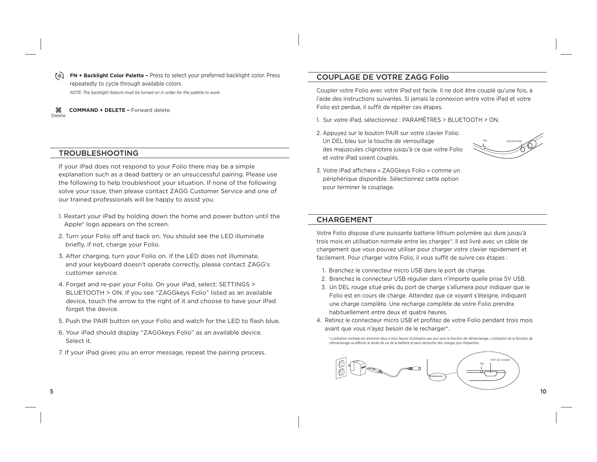**FN + Backlight Color Palette –** Press to select your preferred backlight color. Press repeatedly to cycle through available colors. *NOTE: The backlight feature must be turned on in order for the palette to work.*

ၼ **COMMAND + DELETE –** Forward delete. Delete

### TROUBLESHOOTING

If your iPad does not respond to your Folio there may be a simple explanation such as a dead battery or an unsuccessful pairing. Please use the following to help troubleshoot your situation. If none of the following solve your issue, then please contact ZAGG Customer Service and one of our trained professionals will be happy to assist you.

- 1. Restart your iPad by holding down the home and power button until the Apple® logo appears on the screen.
- 2. Turn your Folio off and back on. You should see the LED illuminate briefly, if not, charge your Folio.
- 3. After charging, turn your Folio on. If the LED does not illuminate, and your keyboard doesn't operate correctly, please contact ZAGG's customer service.
- 4. Forget and re-pair your Folio. On your iPad, select: SETTINGS > BLUETOOTH > ON. If you see "ZAGGkeys Folio" listed as an available device, touch the arrow to the right of it and choose to have your iPad forget the device.
- 5. Push the PAIR button on your Folio and watch for the LED to flash blue.
- 6. Your iPad should display "ZAGGkeys Folio" as an available device. Select it.
- 7. If your iPad gives you an error message, repeat the pairing process.

# COUPLAGE DE VOTRE ZAGG Folio

Coupler votre Folio avec votre iPad est facile. Il ne doit être couplé qu'une fois, à l'aide des instructions suivantes. Si jamais la connexion entre votre iPad et votre Folio est perdue, il suffit de répéter ces étapes.

- 1. Sur votre iPad, sélectionnez : PARAMÈTRES > BLUETOOTH > ON.
- 2. Appuyez sur le bouton PAIR sur votre clavier Folio. Un DEL bleu sur la touche de verrouillage des majuscules clignotera jusqu'à ce que votre Folio et votre iPad soient couplés.



3. Votre iPad affichera « ZAGGkeys Folio » comme un périphérique disponible. Sélectionnez cette option pour terminer le couplage.

#### CHARGEMENT

Votre Folio dispose d'une puissante batterie lithium polymère qui dure jusqu'à trois mois en utilisation normale entre les charges\*. Il est livré avec un câble de chargement que vous pouvez utiliser pour charger votre clavier rapidement et facilement. Pour charger votre Folio, il vous suffit de suivre ces étapes :

- 1. Branchez le connecteur micro USB dans le port de charge.
- 2. Branchez le connecteur USB régulier dans n'importe quelle prise 5V USB.
- 3. Un DEL rouge situé près du port de charge s'allumera pour indiquer que le Folio est en cours de charge. Attendez que ce voyant s'éteigne, indiquant une charge complète. Une recharge complète de votre Folio prendra habituellement entre deux et quatre heures.
- 4. Retirez le connecteur micro USB et profitez de votre Folio pendant trois mois avant que vous n'ayez besoin de le recharger\*.

 *\*L'utilisation normale est d'environ deux à trois heures d'utilisation par jour sans la fonction de rétroéclairage. L'utilisation de la fonction de*  rétroéclairage va affecter la durée de vie de la batterie et peut nécessiter des charges plus fréquentes



5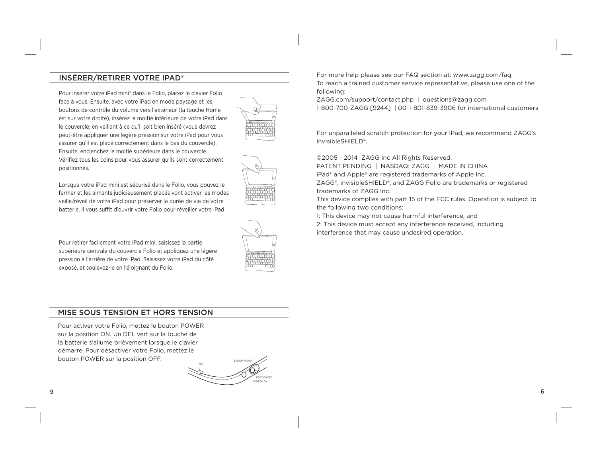# INSÉRER/RETIRER VOTRE IPAD®

Pour insérer votre iPad mini® dans le Folio, placez le clavier Folio face à vous. Ensuite, avec votre iPad en mode paysage et les boutons de contrôle du volume vers l'extérieur (la touche Home est sur votre droite), insérez la moitié inférieure de votre iPad dans le couvercle, en veillant à ce qu'il soit bien inséré (vous devrez peut-être appliquer une légère pression sur votre iPad pour vous assurer qu'il est placé correctement dans le bas du couvercle). Ensuite, enclenchez la moitié supérieure dans le couvercle. Vérifiez tous les coins pour vous assurer qu'ils sont correctement positionnés.



Lorsque votre iPad mini est sécurisé dans le Folio, vous pouvez le fermer et les aimants judicieusement placés vont activer les modes veille/réveil de votre iPad pour préserver la durée de vie de votre batterie. Il vous suffit d'ouvrir votre Folio pour réveiller votre iPad.

Pour retirer facilement votre iPad mini, saisissez la partie supérieure centrale du couvercle Folio et appliquez une légère pression à l'arrière de votre iPad. Saisissez votre iPad du côté exposé, et soulevez-le en l'éloignant du Folio.

# MISE SOUS TENSION ET HORS TENSION

Pour activer votre Folio, mettez le bouton POWER sur la position ON. Un DEL vert sur la touche de la batterie s'allume brièvement lorsque le clavier démarre. Pour désactiver votre Folio, mettez le bouton POWER sur la position OFF.

DELBOUTON POWERPOSITION OFFPOSITION ON

For more help please see our FAQ section at: www.zagg.com/faq To reach a trained customer service representative, please use one of the following:

ZAGG.com/support/contact.php | questions@zagg.com

1-800-700-ZAGG [9244] | 00-1-801-839-3906 for international customers

For unparalleled scratch protection for your iPad, we recommend ZAGG's invisibleSHIELD®.

©2005 - 2014 ZAGG Inc All Rights Reserved.

PATENT PENDING | NASDAQ: ZAGG | MADE IN CHINA

iPad® and Apple® are registered trademarks of Apple Inc.

ZAGG®, invisibleSHIELD®, and ZAGG Folio are trademarks or registered trademarks of ZAGG Inc.

This device complies with part 15 of the FCC rules. Operation is subject to the following two conditions:

1: This device may not cause harmful interference, and

2: This device must accept any interference received, including interference that may cause undesired operation.